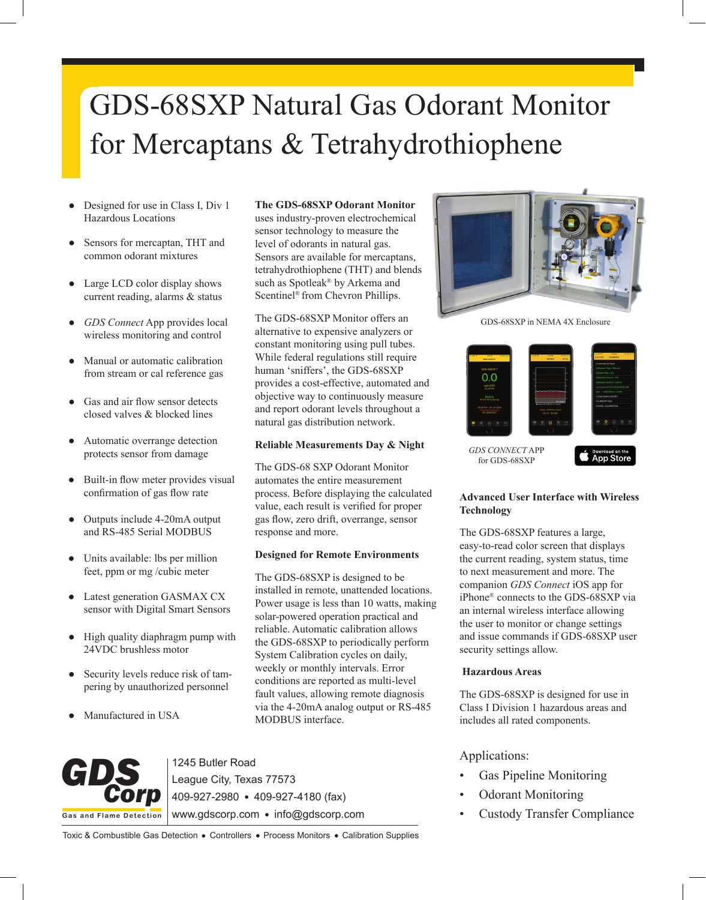# GDS-68SXP Natural Gas Odorant Monitor for Mercaptans & Tetrahydrothiophene

- Designed for use in Class I, Div 1 Hazardous Locations
- Sensors for mercaptan, THT and common odorant mixtures
- Large LCD color display shows current reading, alarms & status
- *GDS Connect* App provides local wireless monitoring and control
- Manual or automatic calibration from stream or cal reference gas
- Gas and air flow sensor detects closed valves & blocked lines
- Automatic overrange detection protects sensor from damage
- Built-in flow meter provides visual confirmation of gas flow rate
- Outputs include 4-20mA output and RS-485 Serial MODBUS
- Units available: lbs per million feet, ppm or mg /cubic meter
- Latest generation GASMAX CX sensor with Digital Smart Sensors
- High quality diaphragm pump with 24VDC brushless motor
- Security levels reduce risk of tampering by unauthorized personnel
- Manufactured in USA

#### **The GDS-68SXP Odorant Monitor**

uses industry-proven electrochemical sensor technology to measure the level of odorants in natural gas. Sensors are available for mercaptans, tetrahydrothiophene (THT) and blends such as Spotleak® by Arkema and Scentinel® from Chevron Phillips.

The GDS-68SXP Monitor offers an alternative to expensive analyzers or constant monitoring using pull tubes. While federal regulations still require human 'sniffers', the GDS-68SXP provides a cost-effective, automated and objective way to continuously measure and report odorant levels throughout a natural gas distribution network.

#### **Reliable Measurements Day & Night**

The GDS-68 SXP Odorant Monitor automates the entire measurement process. Before displaying the calculated value, each result is verified for proper gas flow, zero drift, overrange, sensor response and more.

### **Designed for Remote Environments**

The GDS-68SXP is designed to be installed in remote, unattended locations. Power usage is less than 10 watts, making solar-powered operation practical and reliable. Automatic calibration allows the GDS-68SXP to periodically perform System Calibration cycles on daily, weekly or monthly intervals. Error conditions are reported as multi-level fault values, allowing remote diagnosis via the 4-20mA analog output or RS-485 MODBUS interface.



1245 Butler Road League City, Texas 77573

409-927-2980 409-927-4180 (fax)

www.gdscorp.com · info@gdscorp.com

Toxic & Combustible Gas Detection . Controllers . Process Monitors . Calibration Supplies



GDS-68SXP in NEMA 4X Enclosure



*GDS CONNECT* APP for GDS-68SXP

Download on the<br>App Store

### **Advanced User Interface with Wireless Technology**

The GDS-68SXP features a large, easy-to-read color screen that displays the current reading, system status, time to next measurement and more. The companion *GDS Connect* iOS app for iPhone® connects to the GDS-68SXP via an internal wireless interface allowing the user to monitor or change settings and issue commands if GDS-68SXP user security settings allow.

### **Hazardous Areas**

The GDS-68SXP is designed for use in Class I Division 1 hazardous areas and includes all rated components.

## Applications:

- Gas Pipeline Monitoring
- Odorant Monitoring
- Custody Transfer Compliance